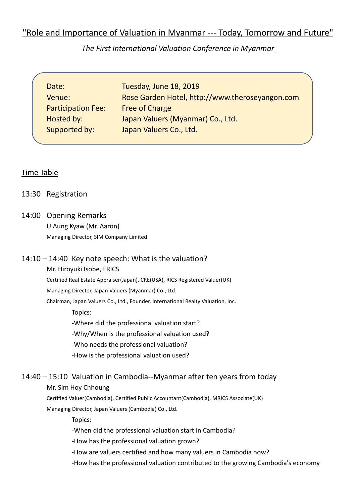# "Role and Importance of Valuation in Myanmar --- Today, Tomorrow and Future"

## *The First International Valuation Conference in Myanmar*

| Date:                     | Tuesday, June 18, 2019                          |  |
|---------------------------|-------------------------------------------------|--|
| Venue:                    | Rose Garden Hotel, http://www.theroseyangon.com |  |
| <b>Participation Fee:</b> | <b>Free of Charge</b>                           |  |
| Hosted by:                | Japan Valuers (Myanmar) Co., Ltd.               |  |
| Supported by:             | Japan Valuers Co., Ltd.                         |  |
|                           |                                                 |  |

## Time Table

### 13:30 Registration

### 14:00 Opening Remarks

U Aung Kyaw (Mr. Aaron) Managing Director, SIM Company Limited

### 14:10 – 14:40 Key note speech: What is the valuation?

Mr. Hiroyuki Isobe, FRICS Certified Real Estate Appraiser(Japan), CRE(USA), RICS Registered Valuer(UK) Managing Director, Japan Valuers (Myanmar) Co., Ltd. Chairman, Japan Valuers Co., Ltd., Founder, International Realty Valuation, Inc. Topics:

-Where did the professional valuation start?

-Why/When is the professional valuation used?

-Who needs the professional valuation?

-How is the professional valuation used?

### 14:40 – 15:10 Valuation in Cambodia--Myanmar after ten years from today

#### Mr. Sim Hoy Chhoung

Certified Valuer(Cambodia), Certified Public Accountant(Cambodia), MRICS Associate(UK)

Managing Director, Japan Valuers (Cambodia) Co., Ltd.

Topics:

-When did the professional valuation start in Cambodia?

-How has the professional valuation grown?

-How are valuers certified and how many valuers in Cambodia now?

-How has the professional valuation contributed to the growing Cambodia's economy